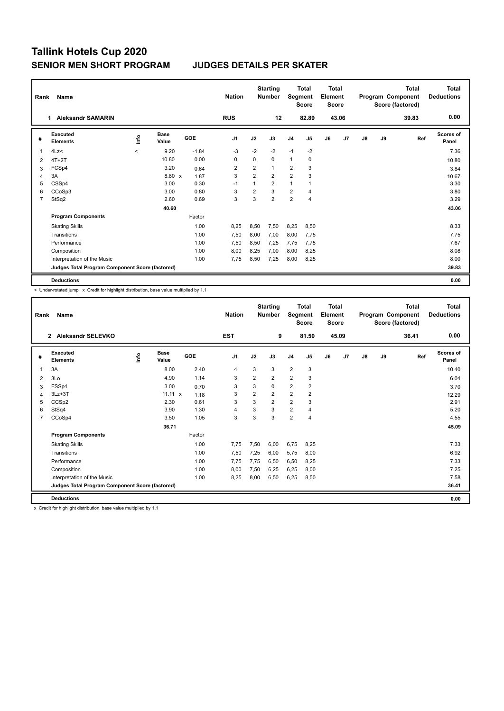| Rank           | Name                                            |         |                      |         | <b>Nation</b>  |                | <b>Starting</b><br><b>Number</b> | Segment                 | Total<br><b>Score</b> | <b>Total</b><br>Element<br><b>Score</b> |       |               |    | Total<br>Program Component<br>Score (factored) | <b>Total</b><br><b>Deductions</b> |
|----------------|-------------------------------------------------|---------|----------------------|---------|----------------|----------------|----------------------------------|-------------------------|-----------------------|-----------------------------------------|-------|---------------|----|------------------------------------------------|-----------------------------------|
|                | <b>Aleksandr SAMARIN</b><br>1                   |         |                      |         | <b>RUS</b>     |                | 12                               |                         | 82.89                 |                                         | 43.06 |               |    | 39.83                                          | 0.00                              |
| #              | Executed<br><b>Elements</b>                     | ١nf٥    | <b>Base</b><br>Value | GOE     | J <sub>1</sub> | J2             | J3                               | J <sub>4</sub>          | J <sub>5</sub>        | J6                                      | J7    | $\mathsf{J}8$ | J9 | Ref                                            | Scores of<br>Panel                |
| 1              | 4Lz<                                            | $\prec$ | 9.20                 | $-1.84$ | $-3$           | $-2$           | $-2$                             | $-1$                    | $-2$                  |                                         |       |               |    |                                                | 7.36                              |
| 2              | $4T+2T$                                         |         | 10.80                | 0.00    | 0              | $\Omega$       | $\Omega$                         | $\mathbf{1}$            | 0                     |                                         |       |               |    |                                                | 10.80                             |
| 3              | FCSp4                                           |         | 3.20                 | 0.64    | 2              | $\overline{2}$ | $\mathbf{1}$                     | $\overline{2}$          | 3                     |                                         |       |               |    |                                                | 3.84                              |
| 4              | 3A                                              |         | 8.80 x               | 1.87    | 3              | $\overline{2}$ | $\overline{2}$                   | $\overline{2}$          | 3                     |                                         |       |               |    |                                                | 10.67                             |
| 5              | CSSp4                                           |         | 3.00                 | 0.30    | $-1$           |                | $\overline{2}$                   | 1                       |                       |                                         |       |               |    |                                                | 3.30                              |
| 6              | CCoSp3                                          |         | 3.00                 | 0.80    | 3              | 2              | 3                                | $\overline{\mathbf{c}}$ | $\overline{4}$        |                                         |       |               |    |                                                | 3.80                              |
| $\overline{7}$ | StSq2                                           |         | 2.60                 | 0.69    | 3              | 3              | $\overline{2}$                   | $\overline{2}$          | $\overline{4}$        |                                         |       |               |    |                                                | 3.29                              |
|                |                                                 |         | 40.60                |         |                |                |                                  |                         |                       |                                         |       |               |    |                                                | 43.06                             |
|                | <b>Program Components</b>                       |         |                      | Factor  |                |                |                                  |                         |                       |                                         |       |               |    |                                                |                                   |
|                | <b>Skating Skills</b>                           |         |                      | 1.00    | 8,25           | 8,50           | 7,50                             | 8,25                    | 8,50                  |                                         |       |               |    |                                                | 8.33                              |
|                | Transitions                                     |         |                      | 1.00    | 7,50           | 8,00           | 7,00                             | 8,00                    | 7,75                  |                                         |       |               |    |                                                | 7.75                              |
|                | Performance                                     |         |                      | 1.00    | 7,50           | 8,50           | 7.25                             | 7,75                    | 7,75                  |                                         |       |               |    |                                                | 7.67                              |
|                | Composition                                     |         |                      | 1.00    | 8,00           | 8,25           | 7,00                             | 8,00                    | 8,25                  |                                         |       |               |    |                                                | 8.08                              |
|                | Interpretation of the Music                     |         |                      | 1.00    | 7,75           | 8,50           | 7,25                             | 8,00                    | 8,25                  |                                         |       |               |    |                                                | 8.00                              |
|                | Judges Total Program Component Score (factored) |         |                      |         |                |                |                                  |                         |                       |                                         |       |               |    |                                                | 39.83                             |
|                | <b>Deductions</b>                               |         |                      |         |                |                |                                  |                         |                       |                                         |       |               |    |                                                | 0.00                              |

< Under-rotated jump x Credit for highlight distribution, base value multiplied by 1.1

| Rank | Name<br>Aleksandr SELEVKO<br>$\mathbf{2}$       |             |                      |        | <b>Nation</b>  |      | <b>Starting</b><br><b>Number</b> | Segment        | <b>Total</b><br><b>Score</b> | Total<br>Element<br><b>Score</b> |       |    |    | <b>Total</b><br>Program Component<br>Score (factored) | <b>Total</b><br><b>Deductions</b> |
|------|-------------------------------------------------|-------------|----------------------|--------|----------------|------|----------------------------------|----------------|------------------------------|----------------------------------|-------|----|----|-------------------------------------------------------|-----------------------------------|
|      |                                                 |             |                      |        | <b>EST</b>     |      | 9                                |                | 81.50                        |                                  | 45.09 |    |    | 36.41                                                 | 0.00                              |
| #    | Executed<br><b>Elements</b>                     | <u>info</u> | <b>Base</b><br>Value | GOE    | J <sub>1</sub> | J2   | J3                               | J <sub>4</sub> | J <sub>5</sub>               | J6                               | J7    | J8 | J9 | Ref                                                   | <b>Scores of</b><br>Panel         |
| 1    | 3A                                              |             | 8.00                 | 2.40   | $\overline{4}$ | 3    | 3                                | $\overline{2}$ | 3                            |                                  |       |    |    |                                                       | 10.40                             |
| 2    | 3Lo                                             |             | 4.90                 | 1.14   | 3              | 2    | $\overline{2}$                   | $\overline{2}$ | 3                            |                                  |       |    |    |                                                       | 6.04                              |
| 3    | FSSp4                                           |             | 3.00                 | 0.70   | 3              | 3    | 0                                | $\overline{2}$ | 2                            |                                  |       |    |    |                                                       | 3.70                              |
| 4    | $3Lz + 3T$                                      |             | $11.11 \times$       | 1.18   | 3              | 2    | $\overline{2}$                   | $\overline{2}$ | 2                            |                                  |       |    |    |                                                       | 12.29                             |
| 5    | CCS <sub>p2</sub>                               |             | 2.30                 | 0.61   | 3              | 3    | $\overline{2}$                   | $\overline{2}$ | 3                            |                                  |       |    |    |                                                       | 2.91                              |
| 6    | StSq4                                           |             | 3.90                 | 1.30   | $\overline{4}$ | 3    | 3                                | $\overline{2}$ | 4                            |                                  |       |    |    |                                                       | 5.20                              |
| 7    | CCoSp4                                          |             | 3.50                 | 1.05   | 3              | 3    | 3                                | $\overline{2}$ | $\overline{4}$               |                                  |       |    |    |                                                       | 4.55                              |
|      |                                                 |             | 36.71                |        |                |      |                                  |                |                              |                                  |       |    |    |                                                       | 45.09                             |
|      | <b>Program Components</b>                       |             |                      | Factor |                |      |                                  |                |                              |                                  |       |    |    |                                                       |                                   |
|      | <b>Skating Skills</b>                           |             |                      | 1.00   | 7,75           | 7,50 | 6,00                             | 6,75           | 8,25                         |                                  |       |    |    |                                                       | 7.33                              |
|      | Transitions                                     |             |                      | 1.00   | 7,50           | 7,25 | 6,00                             | 5,75           | 8,00                         |                                  |       |    |    |                                                       | 6.92                              |
|      | Performance                                     |             |                      | 1.00   | 7,75           | 7,75 | 6,50                             | 6,50           | 8,25                         |                                  |       |    |    |                                                       | 7.33                              |
|      | Composition                                     |             |                      | 1.00   | 8,00           | 7,50 | 6,25                             | 6,25           | 8,00                         |                                  |       |    |    |                                                       | 7.25                              |
|      | Interpretation of the Music                     |             |                      | 1.00   | 8,25           | 8,00 | 6,50                             | 6,25           | 8,50                         |                                  |       |    |    |                                                       | 7.58                              |
|      | Judges Total Program Component Score (factored) |             |                      |        |                |      |                                  |                |                              |                                  |       |    |    |                                                       | 36.41                             |
|      | <b>Deductions</b>                               |             |                      |        |                |      |                                  |                |                              |                                  |       |    |    |                                                       | 0.00                              |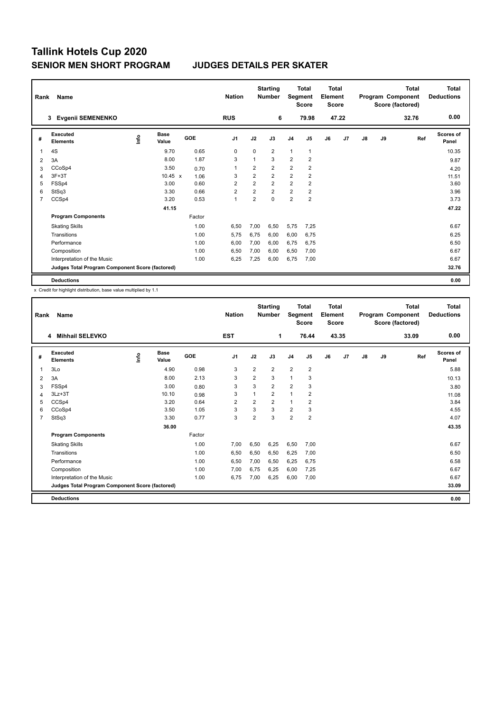| Rank           | Name                                            |      |                      |        | <b>Nation</b>  |                | <b>Starting</b><br><b>Number</b> | Segment                 | Total<br><b>Score</b>   | <b>Total</b><br>Element<br><b>Score</b> |                |               |    | <b>Total</b><br>Program Component<br>Score (factored) | Total<br><b>Deductions</b> |
|----------------|-------------------------------------------------|------|----------------------|--------|----------------|----------------|----------------------------------|-------------------------|-------------------------|-----------------------------------------|----------------|---------------|----|-------------------------------------------------------|----------------------------|
|                | <b>Evgenii SEMENENKO</b><br>3                   |      |                      |        | <b>RUS</b>     |                | 6                                |                         | 79.98                   |                                         | 47.22          |               |    | 32.76                                                 | 0.00                       |
| #              | Executed<br><b>Elements</b>                     | lnfo | <b>Base</b><br>Value | GOE    | J <sub>1</sub> | J2             | J3                               | J <sub>4</sub>          | J5                      | J6                                      | J <sub>7</sub> | $\mathsf{J}8$ | J9 | Ref                                                   | Scores of<br>Panel         |
| 1              | 4S                                              |      | 9.70                 | 0.65   | 0              | 0              | $\overline{2}$                   | $\mathbf{1}$            | 1                       |                                         |                |               |    |                                                       | 10.35                      |
| 2              | 3A                                              |      | 8.00                 | 1.87   | 3              |                | 3                                | $\overline{2}$          | $\overline{2}$          |                                         |                |               |    |                                                       | 9.87                       |
| 3              | CCoSp4                                          |      | 3.50                 | 0.70   | 1              | 2              | $\overline{2}$                   | $\overline{\mathbf{c}}$ | $\overline{\mathbf{c}}$ |                                         |                |               |    |                                                       | 4.20                       |
| 4              | 3F+3T                                           |      | $10.45 \times$       | 1.06   | 3              | $\overline{2}$ | $\overline{2}$                   | $\overline{2}$          | $\overline{2}$          |                                         |                |               |    |                                                       | 11.51                      |
| 5              | FSSp4                                           |      | 3.00                 | 0.60   | $\overline{2}$ | $\overline{2}$ | $\overline{2}$                   | $\overline{2}$          | $\overline{2}$          |                                         |                |               |    |                                                       | 3.60                       |
| 6              | StSq3                                           |      | 3.30                 | 0.66   | $\overline{2}$ | $\overline{2}$ | $\overline{2}$                   | $\overline{2}$          | $\overline{2}$          |                                         |                |               |    |                                                       | 3.96                       |
| $\overline{7}$ | CCSp4                                           |      | 3.20                 | 0.53   | $\overline{1}$ | $\overline{2}$ | $\mathbf 0$                      | $\overline{\mathbf{c}}$ | $\overline{2}$          |                                         |                |               |    |                                                       | 3.73                       |
|                |                                                 |      | 41.15                |        |                |                |                                  |                         |                         |                                         |                |               |    |                                                       | 47.22                      |
|                | <b>Program Components</b>                       |      |                      | Factor |                |                |                                  |                         |                         |                                         |                |               |    |                                                       |                            |
|                | <b>Skating Skills</b>                           |      |                      | 1.00   | 6,50           | 7,00           | 6,50                             | 5,75                    | 7,25                    |                                         |                |               |    |                                                       | 6.67                       |
|                | Transitions                                     |      |                      | 1.00   | 5,75           | 6,75           | 6,00                             | 6,00                    | 6,75                    |                                         |                |               |    |                                                       | 6.25                       |
|                | Performance                                     |      |                      | 1.00   | 6,00           | 7,00           | 6,00                             | 6,75                    | 6,75                    |                                         |                |               |    |                                                       | 6.50                       |
|                | Composition                                     |      |                      | 1.00   | 6,50           | 7,00           | 6,00                             | 6,50                    | 7,00                    |                                         |                |               |    |                                                       | 6.67                       |
|                | Interpretation of the Music                     |      |                      | 1.00   | 6,25           | 7,25           | 6,00                             | 6,75                    | 7,00                    |                                         |                |               |    |                                                       | 6.67                       |
|                | Judges Total Program Component Score (factored) |      |                      |        |                |                |                                  |                         |                         |                                         |                |               |    |                                                       | 32.76                      |
|                | <b>Deductions</b>                               |      |                      |        |                |                |                                  |                         |                         |                                         |                |               |    |                                                       | 0.00                       |

| Rank           | Name<br><b>Mihhail SELEVKO</b><br>4             |      |                      |            |                |                         | <b>Starting</b><br><b>Number</b> | Segment        | Total<br><b>Score</b>   | Total<br>Element<br><b>Score</b> |       |               |    | <b>Total</b><br>Program Component<br>Score (factored) | <b>Total</b><br><b>Deductions</b> |
|----------------|-------------------------------------------------|------|----------------------|------------|----------------|-------------------------|----------------------------------|----------------|-------------------------|----------------------------------|-------|---------------|----|-------------------------------------------------------|-----------------------------------|
|                |                                                 |      |                      |            | <b>EST</b>     |                         | 1                                |                | 76.44                   |                                  | 43.35 |               |    | 33.09                                                 | 0.00                              |
| #              | Executed<br><b>Elements</b>                     | ١ifo | <b>Base</b><br>Value | <b>GOE</b> | J <sub>1</sub> | J2                      | J3                               | J <sub>4</sub> | J <sub>5</sub>          | J6                               | J7    | $\mathsf{J}8$ | J9 | Ref                                                   | <b>Scores of</b><br>Panel         |
| 1              | 3Lo                                             |      | 4.90                 | 0.98       | 3              | $\overline{2}$          | $\overline{2}$                   | $\overline{2}$ | $\overline{2}$          |                                  |       |               |    |                                                       | 5.88                              |
| 2              | 3A                                              |      | 8.00                 | 2.13       | 3              | $\overline{2}$          | 3                                | $\mathbf{1}$   | 3                       |                                  |       |               |    |                                                       | 10.13                             |
| 3              | FSSp4                                           |      | 3.00                 | 0.80       | 3              | 3                       | $\overline{2}$                   | $\overline{2}$ | 3                       |                                  |       |               |    |                                                       | 3.80                              |
| 4              | $3Lz + 3T$                                      |      | 10.10                | 0.98       | 3              | $\mathbf 1$             | $\overline{2}$                   | $\mathbf{1}$   | $\overline{\mathbf{c}}$ |                                  |       |               |    |                                                       | 11.08                             |
| 5              | CCSp4                                           |      | 3.20                 | 0.64       | 2              | $\overline{\mathbf{c}}$ | $\overline{2}$                   | $\mathbf{1}$   | $\overline{2}$          |                                  |       |               |    |                                                       | 3.84                              |
| 6              | CCoSp4                                          |      | 3.50                 | 1.05       | 3              | 3                       | 3                                | $\overline{2}$ | 3                       |                                  |       |               |    |                                                       | 4.55                              |
| $\overline{7}$ | StSq3                                           |      | 3.30                 | 0.77       | 3              | $\overline{2}$          | 3                                | $\overline{2}$ | $\overline{2}$          |                                  |       |               |    |                                                       | 4.07                              |
|                |                                                 |      | 36.00                |            |                |                         |                                  |                |                         |                                  |       |               |    |                                                       | 43.35                             |
|                | <b>Program Components</b>                       |      |                      | Factor     |                |                         |                                  |                |                         |                                  |       |               |    |                                                       |                                   |
|                | <b>Skating Skills</b>                           |      |                      | 1.00       | 7,00           | 6,50                    | 6,25                             | 6,50           | 7,00                    |                                  |       |               |    |                                                       | 6.67                              |
|                | Transitions                                     |      |                      | 1.00       | 6,50           | 6,50                    | 6,50                             | 6,25           | 7,00                    |                                  |       |               |    |                                                       | 6.50                              |
|                | Performance                                     |      |                      | 1.00       | 6,50           | 7,00                    | 6.50                             | 6,25           | 6,75                    |                                  |       |               |    |                                                       | 6.58                              |
|                | Composition                                     |      |                      | 1.00       | 7,00           | 6,75                    | 6.25                             | 6,00           | 7,25                    |                                  |       |               |    |                                                       | 6.67                              |
|                | Interpretation of the Music                     |      |                      | 1.00       | 6,75           | 7,00                    | 6,25                             | 6,00           | 7,00                    |                                  |       |               |    |                                                       | 6.67                              |
|                | Judges Total Program Component Score (factored) |      |                      |            |                |                         |                                  |                |                         |                                  |       |               |    |                                                       | 33.09                             |
|                | <b>Deductions</b>                               |      |                      |            |                |                         |                                  |                |                         |                                  |       |               |    |                                                       | 0.00                              |
|                |                                                 |      |                      |            |                |                         |                                  |                |                         |                                  |       |               |    |                                                       |                                   |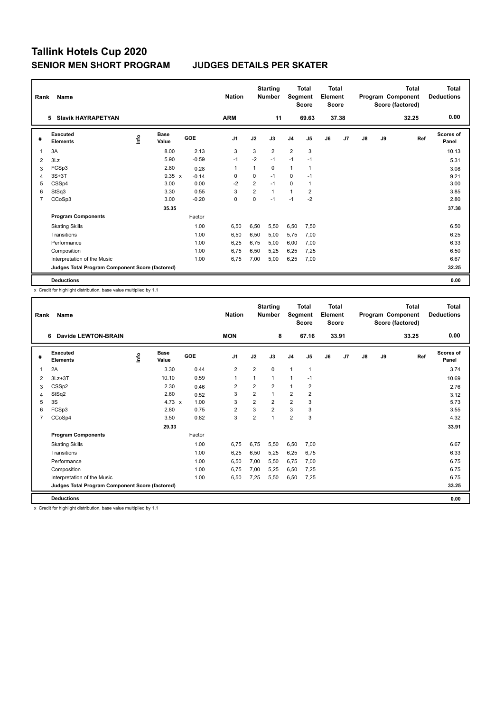| Rank           | <b>Name</b>                                     |      |                      |            | <b>Nation</b>  |                | <b>Starting</b><br><b>Number</b> | Segment        | Total<br><b>Score</b> | <b>Total</b><br>Element<br><b>Score</b> |                |    |    | Total<br>Program Component<br>Score (factored) | <b>Total</b><br><b>Deductions</b> |
|----------------|-------------------------------------------------|------|----------------------|------------|----------------|----------------|----------------------------------|----------------|-----------------------|-----------------------------------------|----------------|----|----|------------------------------------------------|-----------------------------------|
|                | <b>Slavik HAYRAPETYAN</b><br>5.                 |      |                      |            | <b>ARM</b>     |                | 11                               |                | 69.63                 |                                         | 37.38          |    |    | 32.25                                          | 0.00                              |
| #              | Executed<br><b>Elements</b>                     | ١nf٥ | <b>Base</b><br>Value | <b>GOE</b> | J <sub>1</sub> | J2             | J3                               | J <sub>4</sub> | J <sub>5</sub>        | J6                                      | J <sub>7</sub> | J8 | J9 | Ref                                            | Scores of<br>Panel                |
| 1              | 3A                                              |      | 8.00                 | 2.13       | 3              | 3              | $\overline{2}$                   | $\overline{2}$ | 3                     |                                         |                |    |    |                                                | 10.13                             |
| 2              | 3Lz                                             |      | 5.90                 | $-0.59$    | $-1$           | $-2$           | $-1$                             | $-1$           | $-1$                  |                                         |                |    |    |                                                | 5.31                              |
| 3              | FCSp3                                           |      | 2.80                 | 0.28       | -1             | 1              | 0                                | $\mathbf{1}$   | 1                     |                                         |                |    |    |                                                | 3.08                              |
| 4              | $3S+3T$                                         |      | $9.35 \times$        | $-0.14$    | 0              | $\mathbf 0$    | $-1$                             | 0              | $-1$                  |                                         |                |    |    |                                                | 9.21                              |
| 5              | CSSp4                                           |      | 3.00                 | 0.00       | $-2$           | $\overline{2}$ | $-1$                             | $\Omega$       | 1                     |                                         |                |    |    |                                                | 3.00                              |
| 6              | StSq3                                           |      | 3.30                 | 0.55       | 3              | $\overline{2}$ | 1                                | $\mathbf{1}$   | 2                     |                                         |                |    |    |                                                | 3.85                              |
| $\overline{7}$ | CCoSp3                                          |      | 3.00                 | $-0.20$    | $\mathbf 0$    | 0              | $-1$                             | $-1$           | $-2$                  |                                         |                |    |    |                                                | 2.80                              |
|                |                                                 |      | 35.35                |            |                |                |                                  |                |                       |                                         |                |    |    |                                                | 37.38                             |
|                | <b>Program Components</b>                       |      |                      | Factor     |                |                |                                  |                |                       |                                         |                |    |    |                                                |                                   |
|                | <b>Skating Skills</b>                           |      |                      | 1.00       | 6,50           | 6,50           | 5,50                             | 6,50           | 7,50                  |                                         |                |    |    |                                                | 6.50                              |
|                | Transitions                                     |      |                      | 1.00       | 6,50           | 6,50           | 5,00                             | 5,75           | 7.00                  |                                         |                |    |    |                                                | 6.25                              |
|                | Performance                                     |      |                      | 1.00       | 6,25           | 6.75           | 5.00                             | 6,00           | 7,00                  |                                         |                |    |    |                                                | 6.33                              |
|                | Composition                                     |      |                      | 1.00       | 6,75           | 6,50           | 5,25                             | 6,25           | 7,25                  |                                         |                |    |    |                                                | 6.50                              |
|                | Interpretation of the Music                     |      |                      | 1.00       | 6,75           | 7,00           | 5,00                             | 6,25           | 7,00                  |                                         |                |    |    |                                                | 6.67                              |
|                | Judges Total Program Component Score (factored) |      |                      |            |                |                |                                  |                |                       |                                         |                |    |    |                                                | 32.25                             |
|                | <b>Deductions</b>                               |      |                      |            |                |                |                                  |                |                       |                                         |                |    |    |                                                | 0.00                              |

x Credit for highlight distribution, base value multiplied by 1.1

| Rank           | Name                                            |      |                      |        | <b>Nation</b>  |                | <b>Starting</b><br><b>Number</b> | Segment                 | <b>Total</b><br><b>Score</b> | <b>Total</b><br>Element<br><b>Score</b> |       |    |    | <b>Total</b><br>Program Component<br>Score (factored) | <b>Total</b><br><b>Deductions</b> |
|----------------|-------------------------------------------------|------|----------------------|--------|----------------|----------------|----------------------------------|-------------------------|------------------------------|-----------------------------------------|-------|----|----|-------------------------------------------------------|-----------------------------------|
|                | <b>Davide LEWTON-BRAIN</b><br>6                 |      |                      |        | <b>MON</b>     |                | 8                                |                         | 67.16                        |                                         | 33.91 |    |    | 33.25                                                 | 0.00                              |
| #              | Executed<br><b>Elements</b>                     | info | <b>Base</b><br>Value | GOE    | J <sub>1</sub> | J2             | J3                               | J <sub>4</sub>          | J5                           | J6                                      | J7    | J8 | J9 | Ref                                                   | <b>Scores of</b><br>Panel         |
| 1              | 2A                                              |      | 3.30                 | 0.44   | $\overline{2}$ | $\overline{2}$ | $\Omega$                         | $\mathbf{1}$            | $\mathbf{1}$                 |                                         |       |    |    |                                                       | 3.74                              |
| 2              | $3Lz + 3T$                                      |      | 10.10                | 0.59   | 1              | 1              | 1                                | $\overline{1}$          | $-1$                         |                                         |       |    |    |                                                       | 10.69                             |
| 3              | CSSp2                                           |      | 2.30                 | 0.46   | $\overline{2}$ | 2              | $\overline{2}$                   | $\mathbf{1}$            | 2                            |                                         |       |    |    |                                                       | 2.76                              |
| 4              | StSq2                                           |      | 2.60                 | 0.52   | 3              | 2              | 1                                | $\overline{\mathbf{c}}$ | 2                            |                                         |       |    |    |                                                       | 3.12                              |
| 5              | 3S                                              |      | 4.73 $\times$        | 1.00   | 3              | $\overline{2}$ | $\overline{2}$                   | $\overline{2}$          | 3                            |                                         |       |    |    |                                                       | 5.73                              |
| 6              | FCSp3                                           |      | 2.80                 | 0.75   | $\overline{2}$ | 3              | $\overline{2}$                   | 3                       | 3                            |                                         |       |    |    |                                                       | 3.55                              |
| $\overline{7}$ | CCoSp4                                          |      | 3.50                 | 0.82   | 3              | $\overline{2}$ | 1                                | $\overline{2}$          | 3                            |                                         |       |    |    |                                                       | 4.32                              |
|                |                                                 |      | 29.33                |        |                |                |                                  |                         |                              |                                         |       |    |    |                                                       | 33.91                             |
|                | <b>Program Components</b>                       |      |                      | Factor |                |                |                                  |                         |                              |                                         |       |    |    |                                                       |                                   |
|                | <b>Skating Skills</b>                           |      |                      | 1.00   | 6,75           | 6,75           | 5,50                             | 6,50                    | 7,00                         |                                         |       |    |    |                                                       | 6.67                              |
|                | Transitions                                     |      |                      | 1.00   | 6,25           | 6,50           | 5,25                             | 6,25                    | 6,75                         |                                         |       |    |    |                                                       | 6.33                              |
|                | Performance                                     |      |                      | 1.00   | 6,50           | 7,00           | 5.50                             | 6,75                    | 7,00                         |                                         |       |    |    |                                                       | 6.75                              |
|                | Composition                                     |      |                      | 1.00   | 6,75           | 7,00           | 5,25                             | 6,50                    | 7,25                         |                                         |       |    |    |                                                       | 6.75                              |
|                | Interpretation of the Music                     |      |                      | 1.00   | 6,50           | 7,25           | 5,50                             | 6,50                    | 7,25                         |                                         |       |    |    |                                                       | 6.75                              |
|                | Judges Total Program Component Score (factored) |      |                      |        |                |                |                                  |                         |                              |                                         |       |    |    |                                                       | 33.25                             |
|                | <b>Deductions</b>                               |      |                      |        |                |                |                                  |                         |                              |                                         |       |    |    |                                                       | 0.00                              |
|                |                                                 |      |                      |        |                |                |                                  |                         |                              |                                         |       |    |    |                                                       |                                   |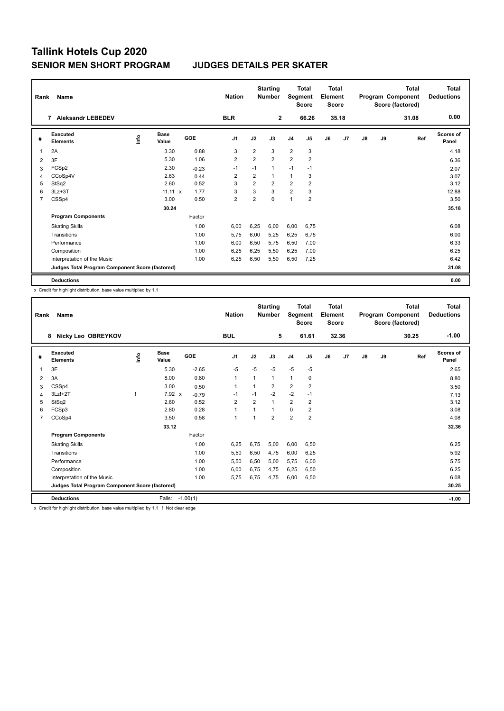| Rank           | Name                                            |      |                      |         | <b>Nation</b>  |                | <b>Starting</b><br><b>Number</b> | Segment        | <b>Total</b><br><b>Score</b> | <b>Total</b><br>Element<br><b>Score</b> |                |    |    | <b>Total</b><br>Program Component<br>Score (factored) | <b>Total</b><br><b>Deductions</b> |
|----------------|-------------------------------------------------|------|----------------------|---------|----------------|----------------|----------------------------------|----------------|------------------------------|-----------------------------------------|----------------|----|----|-------------------------------------------------------|-----------------------------------|
|                | <b>Aleksandr LEBEDEV</b><br>$\overline{7}$      |      |                      |         | <b>BLR</b>     |                | $\overline{2}$                   |                | 66.26                        |                                         | 35.18          |    |    | 31.08                                                 | 0.00                              |
| #              | Executed<br><b>Elements</b>                     | ١nf٥ | <b>Base</b><br>Value | GOE     | J <sub>1</sub> | J2             | J3                               | J <sub>4</sub> | J <sub>5</sub>               | J6                                      | J <sub>7</sub> | J8 | J9 | Ref                                                   | <b>Scores of</b><br>Panel         |
| 1              | 2A                                              |      | 3.30                 | 0.88    | 3              | $\overline{2}$ | 3                                | $\overline{2}$ | 3                            |                                         |                |    |    |                                                       | 4.18                              |
| 2              | 3F                                              |      | 5.30                 | 1.06    | $\overline{2}$ | $\overline{2}$ | $\overline{2}$                   | $\overline{2}$ | $\overline{2}$               |                                         |                |    |    |                                                       | 6.36                              |
| 3              | FCSp2                                           |      | 2.30                 | $-0.23$ | $-1$           | $-1$           | 1                                | $-1$           | $-1$                         |                                         |                |    |    |                                                       | 2.07                              |
| 4              | CCoSp4V                                         |      | 2.63                 | 0.44    | $\overline{2}$ | $\overline{2}$ | 1                                | $\mathbf{1}$   | 3                            |                                         |                |    |    |                                                       | 3.07                              |
| 5              | StSq2                                           |      | 2.60                 | 0.52    | 3              | $\overline{2}$ | $\overline{2}$                   | $\overline{2}$ | $\overline{2}$               |                                         |                |    |    |                                                       | 3.12                              |
| 6              | $3Lz + 3T$                                      |      | $11.11 \times$       | 1.77    | 3              | 3              | 3                                | $\overline{2}$ | 3                            |                                         |                |    |    |                                                       | 12.88                             |
| $\overline{7}$ | CSSp4                                           |      | 3.00                 | 0.50    | $\overline{2}$ | $\overline{2}$ | 0                                | $\overline{1}$ | $\overline{2}$               |                                         |                |    |    |                                                       | 3.50                              |
|                |                                                 |      | 30.24                |         |                |                |                                  |                |                              |                                         |                |    |    |                                                       | 35.18                             |
|                | <b>Program Components</b>                       |      |                      | Factor  |                |                |                                  |                |                              |                                         |                |    |    |                                                       |                                   |
|                | <b>Skating Skills</b>                           |      |                      | 1.00    | 6,00           | 6,25           | 6.00                             | 6,00           | 6.75                         |                                         |                |    |    |                                                       | 6.08                              |
|                | Transitions                                     |      |                      | 1.00    | 5,75           | 6,00           | 5,25                             | 6,25           | 6,75                         |                                         |                |    |    |                                                       | 6.00                              |
|                | Performance                                     |      |                      | 1.00    | 6,00           | 6,50           | 5.75                             | 6,50           | 7.00                         |                                         |                |    |    |                                                       | 6.33                              |
|                | Composition                                     |      |                      | 1.00    | 6,25           | 6,25           | 5,50                             | 6,25           | 7,00                         |                                         |                |    |    |                                                       | 6.25                              |
|                | Interpretation of the Music                     |      |                      | 1.00    | 6,25           | 6,50           | 5,50                             | 6,50           | 7,25                         |                                         |                |    |    |                                                       | 6.42                              |
|                | Judges Total Program Component Score (factored) |      |                      |         |                |                |                                  |                |                              |                                         |                |    |    |                                                       | 31.08                             |
|                | <b>Deductions</b>                               |      |                      |         |                |                |                                  |                |                              |                                         |                |    |    |                                                       | 0.00                              |

x Credit for highlight distribution, base value multiplied by 1.1

| Rank           | Name<br>8                                       |      |                      |         | <b>Nation</b>  |                | <b>Starting</b><br><b>Number</b> | Segment        | <b>Total</b><br><b>Score</b> | <b>Total</b><br>Element<br><b>Score</b> |       |    |    | <b>Total</b><br>Program Component<br>Score (factored) | <b>Total</b><br><b>Deductions</b> |
|----------------|-------------------------------------------------|------|----------------------|---------|----------------|----------------|----------------------------------|----------------|------------------------------|-----------------------------------------|-------|----|----|-------------------------------------------------------|-----------------------------------|
|                | Nicky Leo OBREYKOV                              |      |                      |         | <b>BUL</b>     |                | 5                                |                | 61.61                        |                                         | 32.36 |    |    | 30.25                                                 | $-1.00$                           |
| #              | Executed<br><b>Elements</b>                     | info | <b>Base</b><br>Value | GOE     | J <sub>1</sub> | J2             | J3                               | J <sub>4</sub> | J5                           | J6                                      | J7    | J8 | J9 | Ref                                                   | <b>Scores of</b><br>Panel         |
| 1              | 3F                                              |      | 5.30                 | $-2.65$ | -5             | $-5$           | $-5$                             | $-5$           | $-5$                         |                                         |       |    |    |                                                       | 2.65                              |
| 2              | 3A                                              |      | 8.00                 | 0.80    | $\mathbf{1}$   | 1              | 1                                | $\mathbf{1}$   | 0                            |                                         |       |    |    |                                                       | 8.80                              |
| 3              | CSSp4                                           |      | 3.00                 | 0.50    | $\mathbf{1}$   |                | 2                                | $\overline{2}$ | $\overline{2}$               |                                         |       |    |    |                                                       | 3.50                              |
| 4              | 3Lz!+2T                                         |      | $7.92 \times$        | $-0.79$ | -1             | $-1$           | $-2$                             | $-2$           | $-1$                         |                                         |       |    |    |                                                       | 7.13                              |
| 5              | StSq2                                           |      | 2.60                 | 0.52    | 2              | $\overline{2}$ | 1                                | $\overline{2}$ | 2                            |                                         |       |    |    |                                                       | 3.12                              |
| 6              | FCSp3                                           |      | 2.80                 | 0.28    | $\mathbf{1}$   | $\overline{1}$ | 1                                | $\mathbf 0$    | 2                            |                                         |       |    |    |                                                       | 3.08                              |
| $\overline{7}$ | CCoSp4                                          |      | 3.50                 | 0.58    | $\mathbf{1}$   | $\overline{1}$ | $\overline{2}$                   | $\overline{2}$ | $\overline{2}$               |                                         |       |    |    |                                                       | 4.08                              |
|                |                                                 |      | 33.12                |         |                |                |                                  |                |                              |                                         |       |    |    |                                                       | 32.36                             |
|                | <b>Program Components</b>                       |      |                      | Factor  |                |                |                                  |                |                              |                                         |       |    |    |                                                       |                                   |
|                | <b>Skating Skills</b>                           |      |                      | 1.00    | 6,25           | 6,75           | 5.00                             | 6,00           | 6,50                         |                                         |       |    |    |                                                       | 6.25                              |
|                | Transitions                                     |      |                      | 1.00    | 5,50           | 6,50           | 4,75                             | 6,00           | 6,25                         |                                         |       |    |    |                                                       | 5.92                              |
|                | Performance                                     |      |                      | 1.00    | 5,50           | 6,50           | 5.00                             | 5,75           | 6,00                         |                                         |       |    |    |                                                       | 5.75                              |
|                | Composition                                     |      |                      | 1.00    | 6,00           | 6,75           | 4,75                             | 6,25           | 6,50                         |                                         |       |    |    |                                                       | 6.25                              |
|                | Interpretation of the Music                     |      |                      | 1.00    | 5,75           | 6,75           | 4,75                             | 6,00           | 6,50                         |                                         |       |    |    |                                                       | 6.08                              |
|                | Judges Total Program Component Score (factored) |      |                      |         |                |                |                                  |                |                              |                                         |       |    |    |                                                       | 30.25                             |
|                | <b>Deductions</b>                               |      | Falls: -1.00(1)      |         |                |                |                                  |                |                              |                                         |       |    |    |                                                       | $-1.00$                           |

x Credit for highlight distribution, base value multiplied by 1.1 ! Not clear edge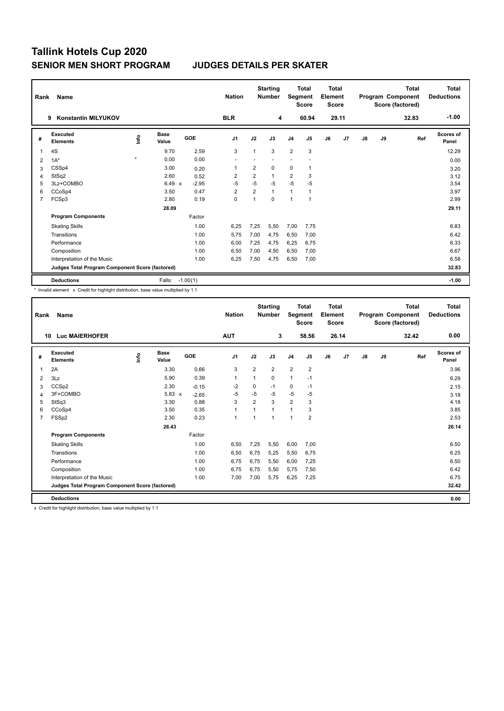| Rank           | Name                                            |               |                      |            | <b>Nation</b>  |                | <b>Starting</b><br><b>Number</b> | Segment        | <b>Total</b><br><b>Score</b> | <b>Total</b><br>Element<br><b>Score</b> |                |    |    | <b>Total</b><br>Program Component<br>Score (factored) | <b>Total</b><br><b>Deductions</b> |
|----------------|-------------------------------------------------|---------------|----------------------|------------|----------------|----------------|----------------------------------|----------------|------------------------------|-----------------------------------------|----------------|----|----|-------------------------------------------------------|-----------------------------------|
|                | <b>Konstantin MILYUKOV</b><br>9                 |               |                      |            | <b>BLR</b>     |                | 4                                |                | 60.94                        |                                         | 29.11          |    |    | 32.83                                                 | $-1.00$                           |
| #              | Executed<br><b>Elements</b>                     | $\frac{6}{2}$ | <b>Base</b><br>Value | <b>GOE</b> | J <sub>1</sub> | J2             | J3                               | J <sub>4</sub> | J <sub>5</sub>               | J6                                      | J <sub>7</sub> | J8 | J9 | Ref                                                   | <b>Scores of</b><br>Panel         |
| 1              | 4S                                              |               | 9.70                 | 2.59       | 3              | 1              | 3                                | $\overline{2}$ | 3                            |                                         |                |    |    |                                                       | 12.29                             |
| 2              | $1A^*$                                          | $\star$       | 0.00                 | 0.00       | ٠              |                |                                  |                |                              |                                         |                |    |    |                                                       | 0.00                              |
| 3              | CSSp4                                           |               | 3.00                 | 0.20       | 1              | $\overline{2}$ | $\Omega$                         | $\Omega$       | 1                            |                                         |                |    |    |                                                       | 3.20                              |
| 4              | StSq2                                           |               | 2.60                 | 0.52       | $\overline{2}$ | $\overline{2}$ | $\mathbf{1}$                     | $\overline{2}$ | 3                            |                                         |                |    |    |                                                       | 3.12                              |
| 5              | 3Lz+COMBO                                       |               | 6.49<br>$\mathbf{x}$ | $-2.95$    | $-5$           | $-5$           | $-5$                             | $-5$           | $-5$                         |                                         |                |    |    |                                                       | 3.54                              |
| 6              | CCoSp4                                          |               | 3.50                 | 0.47       | $\overline{2}$ | 2              | $\mathbf{1}$                     | $\mathbf{1}$   | 1                            |                                         |                |    |    |                                                       | 3.97                              |
| $\overline{7}$ | FCSp3                                           |               | 2.80                 | 0.19       | 0              | 1              | 0                                | 1              | $\mathbf{1}$                 |                                         |                |    |    |                                                       | 2.99                              |
|                |                                                 |               | 28.09                |            |                |                |                                  |                |                              |                                         |                |    |    |                                                       | 29.11                             |
|                | <b>Program Components</b>                       |               |                      | Factor     |                |                |                                  |                |                              |                                         |                |    |    |                                                       |                                   |
|                | <b>Skating Skills</b>                           |               |                      | 1.00       | 6.25           | 7,25           | 5,50                             | 7,00           | 7,75                         |                                         |                |    |    |                                                       | 6.83                              |
|                | Transitions                                     |               |                      | 1.00       | 5,75           | 7,00           | 4.75                             | 6,50           | 7,00                         |                                         |                |    |    |                                                       | 6.42                              |
|                | Performance                                     |               |                      | 1.00       | 6,00           | 7,25           | 4.75                             | 6,25           | 6,75                         |                                         |                |    |    |                                                       | 6.33                              |
|                | Composition                                     |               |                      | 1.00       | 6,50           | 7,00           | 4,50                             | 6,50           | 7,00                         |                                         |                |    |    |                                                       | 6.67                              |
|                | Interpretation of the Music                     |               |                      | 1.00       | 6,25           | 7,50           | 4,75                             | 6,50           | 7,00                         |                                         |                |    |    |                                                       | 6.58                              |
|                | Judges Total Program Component Score (factored) |               |                      |            |                |                |                                  |                |                              |                                         |                |    |    |                                                       | 32.83                             |
|                | <b>Deductions</b>                               |               | Falls:               | $-1.00(1)$ |                |                |                                  |                |                              |                                         |                |    |    |                                                       | $-1.00$                           |

\* Invalid element x Credit for highlight distribution, base value multiplied by 1.1

| Rank           | <b>Name</b>                                     |             |                      |         | <b>Nation</b>  |                | <b>Starting</b><br><b>Number</b> | Segment        | Total<br><b>Score</b> | Total<br>Element<br><b>Score</b> |       |               |    | <b>Total</b><br>Program Component<br>Score (factored) | <b>Total</b><br><b>Deductions</b> |
|----------------|-------------------------------------------------|-------------|----------------------|---------|----------------|----------------|----------------------------------|----------------|-----------------------|----------------------------------|-------|---------------|----|-------------------------------------------------------|-----------------------------------|
|                | <b>Luc MAIERHOFER</b><br>10                     |             |                      |         | <b>AUT</b>     |                | 3                                |                | 58.56                 |                                  | 26.14 |               |    | 32.42                                                 | 0.00                              |
| #              | Executed<br><b>Elements</b>                     | <u>info</u> | <b>Base</b><br>Value | GOE     | J <sub>1</sub> | J2             | J3                               | J <sub>4</sub> | J5                    | J6                               | J7    | $\mathsf{J}8$ | J9 | Ref                                                   | Scores of<br>Panel                |
| 1              | 2A                                              |             | 3.30                 | 0.66    | 3              | 2              | $\overline{2}$                   | $\overline{2}$ | $\overline{2}$        |                                  |       |               |    |                                                       | 3.96                              |
| 2              | 3Lz                                             |             | 5.90                 | 0.39    | 1              | 1              | 0                                | $\mathbf{1}$   | $-1$                  |                                  |       |               |    |                                                       | 6.29                              |
| 3              | CCSp2                                           |             | 2.30                 | $-0.15$ | $-2$           | 0              | $-1$                             | 0              | $-1$                  |                                  |       |               |    |                                                       | 2.15                              |
| 4              | 3F+COMBO                                        |             | $5.83 \times$        | $-2.65$ | $-5$           | $-5$           | $-5$                             | $-5$           | $-5$                  |                                  |       |               |    |                                                       | 3.18                              |
| 5              | StSq3                                           |             | 3.30                 | 0.88    | 3              | $\overline{2}$ | 3                                | $\overline{2}$ | 3                     |                                  |       |               |    |                                                       | 4.18                              |
| 6              | CCoSp4                                          |             | 3.50                 | 0.35    | $\mathbf{1}$   | $\overline{1}$ | 1                                | $\mathbf{1}$   | 3                     |                                  |       |               |    |                                                       | 3.85                              |
| $\overline{7}$ | FSSp2                                           |             | 2.30                 | 0.23    | $\mathbf{1}$   | $\overline{1}$ | $\overline{1}$                   | 1              | 2                     |                                  |       |               |    |                                                       | 2.53                              |
|                |                                                 |             | 26.43                |         |                |                |                                  |                |                       |                                  |       |               |    |                                                       | 26.14                             |
|                | <b>Program Components</b>                       |             |                      | Factor  |                |                |                                  |                |                       |                                  |       |               |    |                                                       |                                   |
|                | <b>Skating Skills</b>                           |             |                      | 1.00    | 6,50           | 7,25           | 5,50                             | 6,00           | 7,00                  |                                  |       |               |    |                                                       | 6.50                              |
|                | Transitions                                     |             |                      | 1.00    | 6,50           | 6,75           | 5,25                             | 5,50           | 6,75                  |                                  |       |               |    |                                                       | 6.25                              |
|                | Performance                                     |             |                      | 1.00    | 6,75           | 6,75           | 5,50                             | 6,00           | 7,25                  |                                  |       |               |    |                                                       | 6.50                              |
|                | Composition                                     |             |                      | 1.00    | 6,75           | 6,75           | 5,50                             | 5,75           | 7,50                  |                                  |       |               |    |                                                       | 6.42                              |
|                | Interpretation of the Music                     |             |                      | 1.00    | 7,00           | 7,00           | 5,75                             | 6,25           | 7,25                  |                                  |       |               |    |                                                       | 6.75                              |
|                | Judges Total Program Component Score (factored) |             |                      |         |                |                |                                  |                |                       |                                  |       |               |    |                                                       | 32.42                             |
|                | <b>Deductions</b>                               |             |                      |         |                |                |                                  |                |                       |                                  |       |               |    |                                                       | 0.00                              |